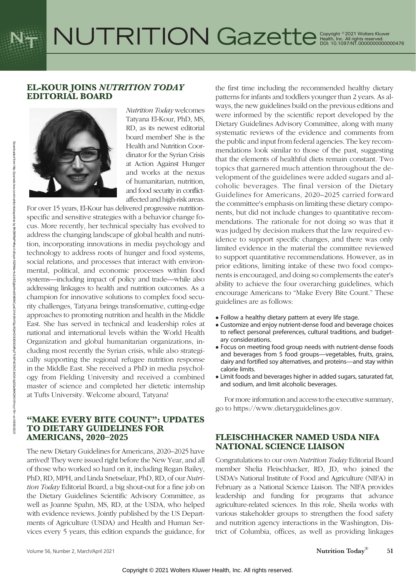# EL-KOUR JOINS NUTRITION TODAY EDITORIAL BOARD



Nutrition Today welcomes Tatyana El-Kour, PhD, MS, RD, as its newest editorial board member! She is the Health and Nutrition Coordinator for the Syrian Crisis at Action Against Hunger and works at the nexus of humanitarian, nutrition, and food security in conflictaffected and high-risk areas.

For over 15 years, El-Kour has delivered progressive nutritionspecific and sensitive strategies with a behavior change focus. More recently, her technical specialty has evolved to address the changing landscape of global health and nutrition, incorporating innovations in media psychology and technology to address roots of hunger and food systems, social relations, and processes that interact with environmental, political, and economic processes within food systems—including impact of policy and trade—while also addressing linkages to health and nutrition outcomes. As a champion for innovative solutions to complex food security challenges, Tatyana brings transformative, cutting-edge approaches to promoting nutrition and health in the Middle East. She has served in technical and leadership roles at national and international levels within the World Health Organization and global humanitarian organizations, including most recently the Syrian crisis, while also strategically supporting the regional refugee nutrition response in the Middle East. She received a PhD in media psychology from Fielding University and received a combined master of science and completed her dietetic internship at Tufts University. Welcome aboard, Tatyana!

## "MAKE EVERY BITE COUNT": UPDATES TO DIETARY GUIDELINES FOR AMERICANS, 2020–2025

The new Dietary Guidelines for Americans, 2020–2025 have arrived! They were issued right before the New Year, and all of those who worked so hard on it, including Regan Bailey, PhD, RD, MPH, and Linda Snetselaar, PhD, RD, of our Nutrition Today Editorial Board, a big shout-out for a fine job on the Dietary Guidelines Scientific Advisory Committee, as well as Joanne Spahn, MS, RD, at the USDA, who helped with evidence reviews. Jointly published by the US Departments of Agriculture (USDA) and Health and Human Services every 5 years, this edition expands the guidance, for the first time including the recommended healthy dietary patterns for infants and toddlers younger than 2 years. As always, the new guidelines build on the previous editions and were informed by the scientific report developed by the Dietary Guidelines Advisory Committee, along with many systematic reviews of the evidence and comments from the public and input from federal agencies. The key recommendations look similar to those of the past, suggesting that the elements of healthful diets remain constant. Two topics that garnered much attention throughout the development of the guidelines were added sugars and alcoholic beverages. The final version of the Dietary Guidelines for Americans, 2020–2025 carried forward the committee's emphasis on limiting these dietary components, but did not include changes to quantitative recommendations. The rationale for not doing so was that it was judged by decision makers that the law required evidence to support specific changes, and there was only limited evidence in the material the committee reviewed to support quantitative recommendations. However, as in prior editions, limiting intake of these two food components is encouraged, and doing so complements the eater's ability to achieve the four overarching guidelines, which encourage Americans to "Make Every Bite Count." These guidelines are as follows:

- Follow a healthy dietary pattern at every life stage.
- Customize and enjoy nutrient-dense food and beverage choices to reflect personal preferences, cultural traditions, and budgetary considerations.
- Focus on meeting food group needs with nutrient-dense foods and beverages from 5 food groups—vegetables, fruits, grains, dairy and fortified soy alternatives, and proteins—and stay within calorie limits.
- Limit foods and beverages higher in added sugars, saturated fat, and sodium, and limit alcoholic beverages.

For more information and access to the executive summary, go to [https://www.dietaryguidelines.gov.](https://www.dietaryguidelines.gov)

# FLEISCHHACKER NAMED USDA NIFA NATIONAL SCIENCE LIAISON

Congratulations to our own Nutrition Today Editorial Board member Shelia Fleischhacker, RD, JD, who joined the USDA's National Institute of Food and Agriculture (NIFA) in February as a National Science Liaison. The NIFA provides leadership and funding for programs that advance agriculture-related sciences. In this role, Sheila works with various stakeholder groups to strengthen the food safety and nutrition agency interactions in the Washington, District of Columbia, offices, as well as providing linkages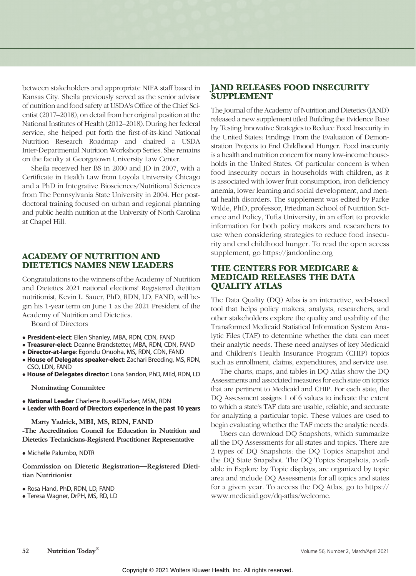between stakeholders and appropriate NIFA staff based in Kansas City. Sheila previously served as the senior advisor of nutrition and food safety at USDA's Office of the Chief Scientist (2017–2018), on detail from her original position at the National Institutes of Health (2012–2018). During her federal service, she helped put forth the first-of-its-kind National Nutrition Research Roadmap and chaired a USDA Inter-Departmental Nutrition Workshop Series. She remains on the faculty at Georgetown University Law Center.

Sheila received her BS in 2000 and JD in 2007, with a Certificate in Health Law from Loyola University Chicago and a PhD in Integrative Biosciences/Nutritional Sciences from The Pennsylvania State University in 2004. Her postdoctoral training focused on urban and regional planning and public health nutrition at the University of North Carolina at Chapel Hill.

## ACADEMY OF NUTRITION AND DIETETICS NAMES NEW LEADERS

Congratulations to the winners of the Academy of Nutrition and Dietetics 2021 national elections! Registered dietitian nutritionist, Kevin L. Sauer, PhD, RDN, LD, FAND, will begin his 1-year term on June 1 as the 2021 President of the Academy of Nutrition and Dietetics.

Board of Directors

- President-elect: Ellen Shanley, MBA, RDN, CDN, FAND
- **Treasurer-elect**: Deanne Brandstetter, MBA, RDN, CDN, FAND
- · Director-at-large: Egondu Onuoha, MS, RDN, CDN, FAND
- House of Delegates speaker-elect: Zachari Breeding, MS, RDN, CSO, LDN, FAND
- House of Delegates director: Lona Sandon, PhD, MEd, RDN, LD

Nominating Committee

- National Leader Charlene Russell-Tucker, MSM, RDN
- Leader with Board of Directors experience in the past 10 years

Marty Yadrick, MBI, MS, RDN, FAND -The Accreditation Council for Education in Nutrition and Dietetics Technicians-Registerd Practitioner Representative

Michelle Palumbo, NDTR

Commission on Dietetic Registration—Registered Dietitian Nutritionist

- Rosa Hand, PhD, RDN, LD, FAND
- Teresa Wagner, DrPH, MS, RD, LD

# JAND RELEASES FOOD INSECURITY SUPPLEMENT

The Journal of the Academy of Nutrition and Dietetics (JAND) released a new supplement titled Building the Evidence Base by Testing Innovative Strategies to Reduce Food Insecurity in the United States: Findings From the Evaluation of Demonstration Projects to End Childhood Hunger. Food insecurity is a health and nutrition concern for many low-income households in the United States. Of particular concern is when food insecurity occurs in households with children, as it is associated with lower fruit consumption, iron deficiency anemia, lower learning and social development, and mental health disorders. The supplement was edited by Parke Wilde, PhD, professor, Friedman School of Nutrition Science and Policy, Tufts University, in an effort to provide information for both policy makers and researchers to use when considering strategies to reduce food insecurity and end childhood hunger. To read the open access supplement, go<https://jandonline.org>

## THE CENTERS FOR MEDICARE & MEDICAID RELEASES THE DATA QUALITY ATLAS

The Data Quality (DQ) Atlas is an interactive, web-based tool that helps policy makers, analysts, researchers, and other stakeholders explore the quality and usability of the Transformed Medicaid Statistical Information System Analytic Files (TAF) to determine whether the data can meet their analytic needs. These need analyses of key Medicaid and Children's Health Insurance Program (CHIP) topics such as enrollment, claims, expenditures, and service use.

The charts, maps, and tables in DQ Atlas show the DQ Assessments and associated measures for each state on topics that are pertinent to Medicaid and CHIP. For each state, the DQ Assessment assigns 1 of 6 values to indicate the extent to which a state's TAF data are usable, reliable, and accurate for analyzing a particular topic. These values are used to begin evaluating whether the TAF meets the analytic needs.

Users can download DQ Snapshots, which summarize all the DQ Assessments for all states and topics. There are 2 types of DQ Snapshots: the DQ Topics Snapshot and the DQ State Snapshot. The DQ Topics Snapshots, available in Explore by Topic displays, are organized by topic area and include DQ Assessments for all topics and states for a given year. To access the DQ Atlas, go to [https://](https://www.medicaid.gov/dq-atlas/welcome) [www.medicaid.gov/dq-atlas/welcome](https://www.medicaid.gov/dq-atlas/welcome).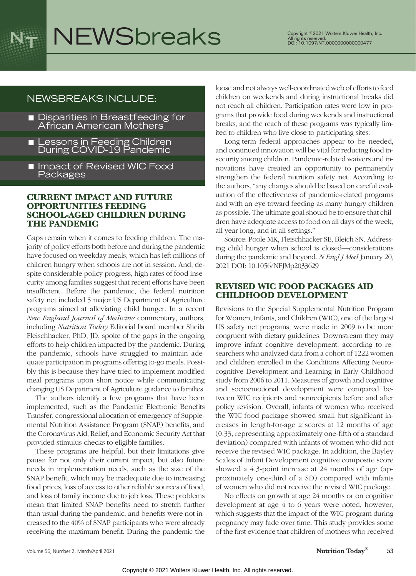

# NEWSbreaks Copyright © 2021 Wolters Kluwer Health, Inc.

# NEWSBREAKS INCLUDE:

- **Disparities in Breastfeeding for** African American Mothers
- Lessons in Feeding Children<br>During COVID-19 Pandemic
- **I** Impact of Revised WIC Food Packages

### CURRENT IMPACT AND FUTURE OPPORTUNITIES FEEDING SCHOOL-AGED CHILDREN DURING THE PANDEMIC

Gaps remain when it comes to feeding children. The majority of policy efforts both before and during the pandemic have focused on weekday meals, which has left millions of children hungry when schools are not in session. And, despite considerable policy progress, high rates of food insecurity among families suggest that recent efforts have been insufficient. Before the pandemic, the federal nutrition safety net included 5 major US Department of Agriculture programs aimed at alleviating child hunger. In a recent New England Journal of Medicine commentary, authors, including Nutrition Today Editorial board member Sheila Fleischhacker, PhD, JD, spoke of the gaps in the ongoing efforts to help children impacted by the pandemic. During the pandemic, schools have struggled to maintain adequate participation in programs offering to-go meals. Possibly this is because they have tried to implement modified meal programs upon short notice while communicating changing US Department of Agriculture guidance to families.

The authors identify a few programs that have been implemented, such as the Pandemic Electronic Benefits Transfer, congressional allocation of emergency of Supplemental Nutrition Assistance Program (SNAP) benefits, and the Coronavirus Aid, Relief, and Economic Security Act that provided stimulus checks to eligible families.

These programs are helpful, but their limitations give pause for not only their current impact, but also future needs in implementation needs, such as the size of the SNAP benefit, which may be inadequate due to increasing food prices, loss of access to other reliable sources of food, and loss of family income due to job loss. These problems mean that limited SNAP benefits need to stretch further than usual during the pandemic, and benefits were not increased to the 40% of SNAP participants who were already receiving the maximum benefit. During the pandemic the

loose and not always well-coordinated web of efforts to feed children on weekends and during instructional breaks did not reach all children. Participation rates were low in programs that provide food during weekends and instructional breaks, and the reach of these programs was typically limited to children who live close to participating sites.

Long-term federal approaches appear to be needed, and continued innovation will be vital for reducing food insecurity among children. Pandemic-related waivers and innovations have created an opportunity to permanently strengthen the federal nutrition safety net. According to the authors, "any changes should be based on careful evaluation of the effectiveness of pandemic-related programs and with an eye toward feeding as many hungry children as possible. The ultimate goal should be to ensure that children have adequate access to food on all days of the week, all year long, and in all settings."

Source: Poole MK, Fleischhacker SE, Bleich SN. Addressing child hunger when school is closed—considerations during the pandemic and beyond. N Engl J Med January 20, 2021 DOI: 10.1056/NEJMp2033629

# REVISED WIC FOOD PACKAGES AID CHILDHOOD DEVELOPMENT

Revisions to the Special Supplemental Nutrition Program for Women, Infants, and Children (WIC), one of the largest US safety net programs, were made in 2009 to be more congruent with dietary guidelines. Downstream they may improve infant cognitive development, according to researchers who analyzed data from a cohort of 1222 women and children enrolled in the Conditions Affecting Neurocognitive Development and Learning in Early Childhood study from 2006 to 2011. Measures of growth and cognitive and socioemotional development were compared between WIC recipients and nonrecipients before and after policy revision. Overall, infants of women who received the WIC food package showed small but significant increases in length-for-age z scores at 12 months of age (0.33, representing approximately one-fifth of a standard deviation) compared with infants of women who did not receive the revised WIC package. In addition, the Bayley Scales of Infant Development cognitive composite score showed a 4.3-point increase at 24 months of age (approximately one-third of a SD) compared with infants of women who did not receive the revised WIC package.

No effects on growth at age 24 months or on cognitive development at age 4 to 6 years were noted, however, which suggests that the impact of the WIC program during pregnancy may fade over time. This study provides some of the first evidence that children of mothers who received